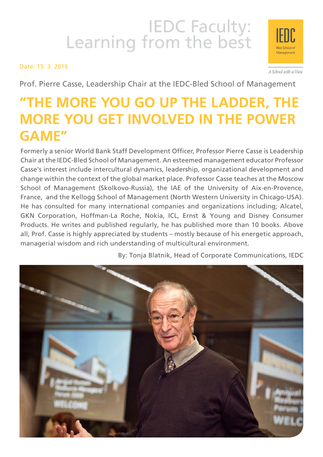# IEDC Faculty:<br>Learning from the best

Date: 15. 3. 2016



A School with a View

Prof. Pierre Casse, Leadership Chair at the IEDC-Bled School of Management

# **"THE MORE YOU GO UP THE LADDER, THE MORE YOU GET INVOLVED IN THE POWER GAME"**

Formerly a senior World Bank Staff Development Officer, Professor Pierre Casse is Leadership Chair at the IEDC-Bled School of Management. An esteemed management educator Professor Casse's interest include intercultural dynamics, leadership, organizational development and change within the context of the global market place. Professor Casse teaches at the Moscow School of Management (Skolkovo-Russia), the IAE of the University of Aix-en-Provence, France, and the Kellogg School of Management (North Western University in Chicago-USA). He has consulted for many international companies and organizations including; Alcatel, GKN Corporation, Hoffman-La Roche, Nokia, ICL, Ernst & Young and Disney Consumer Products. He writes and published regularly, he has published more than 10 books. Above all, Prof. Casse is highly appreciated by students – mostly because of his energetic approach, managerial wisdom and rich understanding of multicultural environment.

By: Tonja Blatnik, Head of Corporate Communications, IEDC

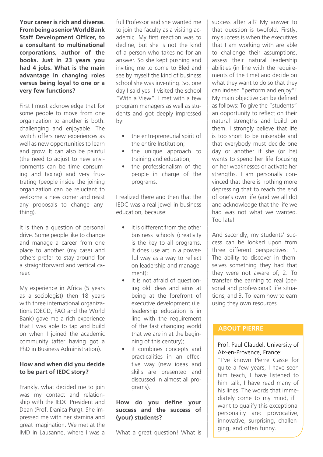**Your career is rich and diverse. From being a senior World Bank Staff Development Officer, to a consultant to multinational corporations, author of the books. Just in 23 years you had 4 jobs. What is the main advantage in changing roles versus being loyal to one or a very few functions?**

First I must acknowledge that for some people to move from one organization to another is both: challenging and enjoyable. The switch offers new experiences as well as new opportunities to learn and grow. It can also be painful (the need to adjust to new environments can be time consuming and taxing) and very frustrating (people inside the joining organization can be reluctant to welcome a new comer and resist any proposals to change anything).

It is then a question of personal drive. Some people like to change and manage a career from one place to another (my case) and others prefer to stay around for a straightforward and vertical career.

My experience in Africa (5 years as a sociologist) then 18 years with three international organizations (OECD, FAO and the World Bank) gave me a rich experience that I was able to tap and build on when I joined the academic community (after having got a PhD in Business Administration).

#### **How and when did you decide to be part of IEDC story?**

Frankly, what decided me to join was my contact and relationship with the IEDC President and Dean (Prof. Danica Purg). She impressed me with her stamina and great imagination. We met at the IMD in Lausanne, where I was a full Professor and she wanted me to join the faculty as a visiting academic. My first reaction was to decline, but she is not the kind of a person who takes no for an answer. So she kept pushing and inviting me to come to Bled and see by myself the kind of business school she was inventing. So, one day I said yes! I visited the school "With a View". I met with a few program managers as well as students and got deeply impressed by:

- the entrepreneurial spirit of the entire Institution;
- the unique approach to training and education;
- the professionalism of the people in charge of the programs.

I realized there and then that the IEDC was a real jewel in business education, because:

- it is different from the other business schools (creativity is the key to all programs. It does use art in a powerful way as a way to reflect on leadership and management);
- it is not afraid of questioning old ideas and aims at being at the forefront of executive development (i.e. leadership education is in line with the requirement of the fast changing world that we are in at the beginning of this century);
- it combines concepts and practicalities in an effective way (new ideas and skills are presented and discussed in almost all programs).

#### **How do you define your success and the success of (your) students?**

What a great question! What is

success after all? My answer to that question is twofold. Firstly, my success is when the executives that I am working with are able to challenge their assumptions, assess their natural leadership abilities (in line with the requirements of the time) and decide on what they want to do so that they can indeed "perform and enjoy"! My main objective can be defined as follows: To give the "students" an opportunity to reflect on their natural strengths and build on them. I strongly believe that life is too short to be miserable and that everybody must decide one day or another if she (or he) wants to spend her life focusing on her weaknesses or activate her strengths. I am personally convinced that there is nothing more depressing that to reach the end of one's own life (and we all do) and acknowledge that the life we had was not what we wanted. Too late!

And secondly, my students' success can be looked upon from three different perspectives: 1. The ability to discover in themselves something they had that they were not aware of; 2. To transfer the earning to real (personal and professional) life situations; and 3. To learn how to earn using they own resources.

#### **ABOUT Pierre**

#### Prof. Paul Claudel, University of Aix-en-Provence, France:

"I've known Pierre Casse for quite a few years, I have seen him teach, I have listened to him talk, I have read many of his lines. The words that immediately come to my mind, if I want to qualify this exceptional personality are: provocative, innovative, surprising, challenging, and often funny.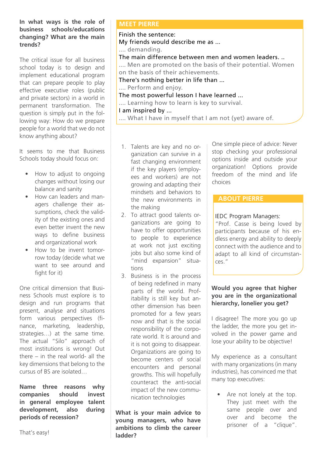#### **In what ways is the role of business schools/educations changing? What are the main trends?**

The critical issue for all business school today is to design and implement educational program that can prepare people to play effective executive roles (public and private sectors) in a world in permanent transformation. The question is simply put in the following way: How do we prepare people for a world that we do not know anything about?

It seems to me that Business Schools today should focus on:

- How to adjust to ongoing changes without losing our balance and sanity
- How can leaders and managers challenge their assumptions, check the validity of the existing ones and even better invent the new ways to define business and organizational work
- • How to be invent tomorrow today (decide what we want to see around and fight for it)

One critical dimension that Business Schools must explore is to design and run programs that present, analyse and situations form various perspectives (finance, marketing, leadership, strategies…) at the same time. The actual "Silo" approach of most institutions is wrong! Out there – in the real world- all the key dimensions that belong to the cursus of BS are isolated…

**Name three reasons why companies should invest in general employee talent development, also during periods of recession?**

#### **MEET PIERRE**

#### Finish the sentence:

My friends would describe me as ...

.... demanding.

The main difference between men and women leaders. ..

.... Men are promoted on the basis of their potential. Women on the basis of their achievements.

There's nothing better in life than ...

.... Perform and enjoy.

The most powerful lesson I have learned ... .... Learning how to learn is key to survival. I am inspired by ...

- .... What I have in myself that I am not (yet) aware of.
- 1. Talents are key and no organization can survive in a fast changing environment if the key players (employees and workers) are not growing and adapting their mindsets and behaviors to the new environments in the making
- 2. To attract good talents organizations are going to have to offer opportunities to people to experience at work not just exciting jobs but also some kind of "mind expansion" situations
- 3. Business is in the process of being redefined in many parts of the world. Profitability is still key but another dimension has been promoted for a few years now and that is the social responsibility of the corporate world. It is around and it is not going to disappear. Organizations are going to become centers of social encounters and personal growths. This will hopefully counteract the anti-social impact of the new communication technologies

**What is your main advice to young managers, who have ambitions to climb the career ladder?**

One simple piece of advice: Never stop checking your professional options inside and outside your organization! Options provide freedom of the mind and life choices

## **ABOUT Pierre**

## IEDC Program Managers:

"Prof. Casse is being loved by participants because of his endless energy and ability to deeply connect with the audience and to adapt to all kind of circumstances."

#### **Would you agree that higher you are in the organizational hierarchy, lonelier you get?**

I disagree! The more you go up the ladder, the more you get involved in the power game and lose your ability to be objective!

My experience as a consultant with many organizations (in many industries), has convinced me that many top executives:

• Are not lonely at the top. They just meet with the same people over and over and become the prisoner of a "clique".